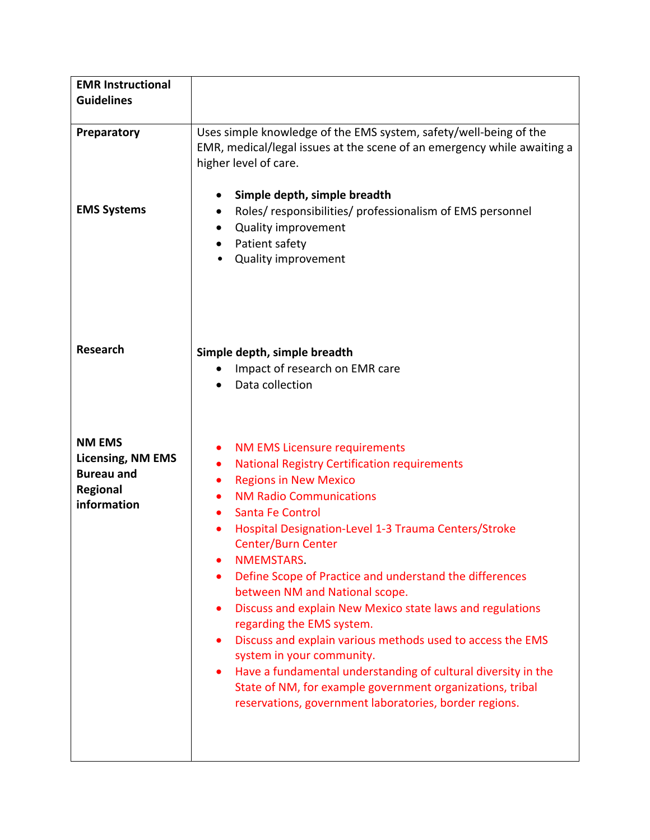| <b>EMR Instructional</b><br><b>Guidelines</b>                                             |                                                                                                                                                                                                                                                                                                                                                                                                                                                                                                                                                                                                                                                                                                                                                                                                |
|-------------------------------------------------------------------------------------------|------------------------------------------------------------------------------------------------------------------------------------------------------------------------------------------------------------------------------------------------------------------------------------------------------------------------------------------------------------------------------------------------------------------------------------------------------------------------------------------------------------------------------------------------------------------------------------------------------------------------------------------------------------------------------------------------------------------------------------------------------------------------------------------------|
| Preparatory<br><b>EMS Systems</b>                                                         | Uses simple knowledge of the EMS system, safety/well-being of the<br>EMR, medical/legal issues at the scene of an emergency while awaiting a<br>higher level of care.<br>Simple depth, simple breadth<br>$\bullet$<br>Roles/responsibilities/professionalism of EMS personnel<br>٠<br>Quality improvement<br>Patient safety<br><b>Quality improvement</b>                                                                                                                                                                                                                                                                                                                                                                                                                                      |
| <b>Research</b>                                                                           | Simple depth, simple breadth<br>Impact of research on EMR care<br>Data collection<br>$\bullet$                                                                                                                                                                                                                                                                                                                                                                                                                                                                                                                                                                                                                                                                                                 |
| <b>NM EMS</b><br><b>Licensing, NM EMS</b><br><b>Bureau and</b><br>Regional<br>information | NM EMS Licensure requirements<br>$\bullet$<br><b>National Registry Certification requirements</b><br>$\bullet$<br><b>Regions in New Mexico</b><br>$\bullet$<br><b>NM Radio Communications</b><br>Santa Fe Control<br>Hospital Designation-Level 1-3 Trauma Centers/Stroke<br><b>Center/Burn Center</b><br>NMEMSTARS.<br>Define Scope of Practice and understand the differences<br>between NM and National scope.<br>Discuss and explain New Mexico state laws and regulations<br>regarding the EMS system.<br>Discuss and explain various methods used to access the EMS<br>system in your community.<br>Have a fundamental understanding of cultural diversity in the<br>State of NM, for example government organizations, tribal<br>reservations, government laboratories, border regions. |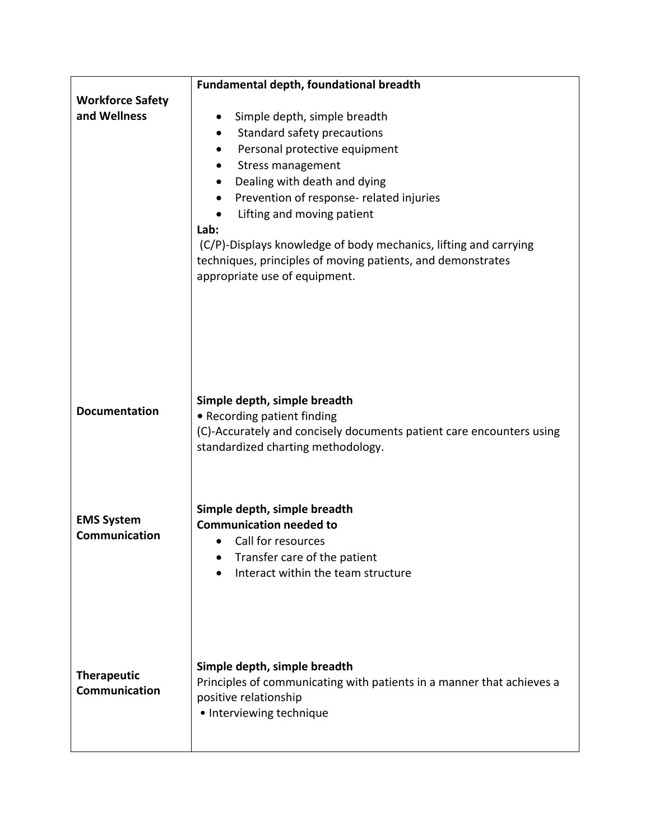|                                           | Fundamental depth, foundational breadth                                                                                                                          |
|-------------------------------------------|------------------------------------------------------------------------------------------------------------------------------------------------------------------|
| <b>Workforce Safety</b><br>and Wellness   |                                                                                                                                                                  |
|                                           | Simple depth, simple breadth                                                                                                                                     |
|                                           | Standard safety precautions<br>Personal protective equipment                                                                                                     |
|                                           | <b>Stress management</b>                                                                                                                                         |
|                                           | Dealing with death and dying                                                                                                                                     |
|                                           | Prevention of response- related injuries                                                                                                                         |
|                                           | Lifting and moving patient                                                                                                                                       |
|                                           | Lab:                                                                                                                                                             |
|                                           | (C/P)-Displays knowledge of body mechanics, lifting and carrying<br>techniques, principles of moving patients, and demonstrates<br>appropriate use of equipment. |
|                                           |                                                                                                                                                                  |
| <b>Documentation</b>                      | Simple depth, simple breadth<br>• Recording patient finding                                                                                                      |
|                                           | (C)-Accurately and concisely documents patient care encounters using<br>standardized charting methodology.                                                       |
|                                           | Simple depth, simple breadth                                                                                                                                     |
| <b>EMS System</b><br><b>Communication</b> | <b>Communication needed to</b>                                                                                                                                   |
|                                           | Call for resources                                                                                                                                               |
|                                           | Transfer care of the patient                                                                                                                                     |
|                                           | Interact within the team structure                                                                                                                               |
|                                           |                                                                                                                                                                  |
| <b>Therapeutic</b><br>Communication       | Simple depth, simple breadth<br>Principles of communicating with patients in a manner that achieves a<br>positive relationship<br>• Interviewing technique       |
|                                           |                                                                                                                                                                  |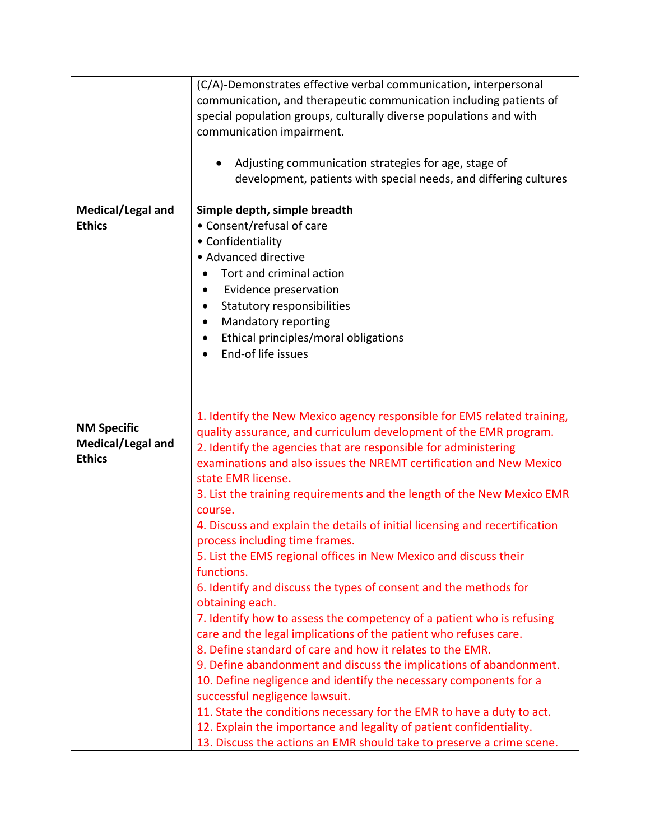|                                                          | (C/A)-Demonstrates effective verbal communication, interpersonal<br>communication, and therapeutic communication including patients of<br>special population groups, culturally diverse populations and with<br>communication impairment.<br>Adjusting communication strategies for age, stage of<br>development, patients with special needs, and differing cultures |
|----------------------------------------------------------|-----------------------------------------------------------------------------------------------------------------------------------------------------------------------------------------------------------------------------------------------------------------------------------------------------------------------------------------------------------------------|
| Medical/Legal and                                        | Simple depth, simple breadth                                                                                                                                                                                                                                                                                                                                          |
| <b>Ethics</b>                                            | • Consent/refusal of care                                                                                                                                                                                                                                                                                                                                             |
|                                                          | • Confidentiality                                                                                                                                                                                                                                                                                                                                                     |
|                                                          | • Advanced directive                                                                                                                                                                                                                                                                                                                                                  |
|                                                          | Tort and criminal action                                                                                                                                                                                                                                                                                                                                              |
|                                                          | Evidence preservation<br>٠                                                                                                                                                                                                                                                                                                                                            |
|                                                          | Statutory responsibilities<br>$\bullet$<br>Mandatory reporting<br>$\bullet$                                                                                                                                                                                                                                                                                           |
|                                                          | Ethical principles/moral obligations                                                                                                                                                                                                                                                                                                                                  |
|                                                          | End-of life issues                                                                                                                                                                                                                                                                                                                                                    |
| <b>NM Specific</b><br>Medical/Legal and<br><b>Ethics</b> | 1. Identify the New Mexico agency responsible for EMS related training,<br>quality assurance, and curriculum development of the EMR program.<br>2. Identify the agencies that are responsible for administering<br>examinations and also issues the NREMT certification and New Mexico<br>state EMR license.                                                          |
|                                                          | 3. List the training requirements and the length of the New Mexico EMR<br>course.                                                                                                                                                                                                                                                                                     |
|                                                          | 4. Discuss and explain the details of initial licensing and recertification<br>process including time frames.                                                                                                                                                                                                                                                         |
|                                                          | 5. List the EMS regional offices in New Mexico and discuss their<br>functions.                                                                                                                                                                                                                                                                                        |
|                                                          | 6. Identify and discuss the types of consent and the methods for<br>obtaining each.                                                                                                                                                                                                                                                                                   |
|                                                          | 7. Identify how to assess the competency of a patient who is refusing                                                                                                                                                                                                                                                                                                 |
|                                                          | care and the legal implications of the patient who refuses care.                                                                                                                                                                                                                                                                                                      |
|                                                          | 8. Define standard of care and how it relates to the EMR.<br>9. Define abandonment and discuss the implications of abandonment.                                                                                                                                                                                                                                       |
|                                                          | 10. Define negligence and identify the necessary components for a<br>successful negligence lawsuit.                                                                                                                                                                                                                                                                   |
|                                                          | 11. State the conditions necessary for the EMR to have a duty to act.<br>12. Explain the importance and legality of patient confidentiality.<br>13. Discuss the actions an EMR should take to preserve a crime scene.                                                                                                                                                 |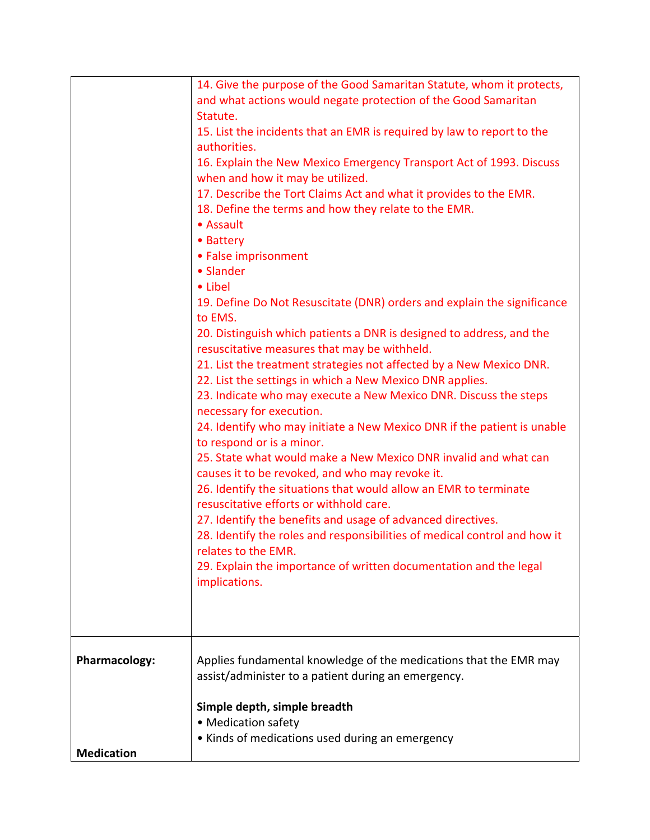|                                           | 14. Give the purpose of the Good Samaritan Statute, whom it protects,<br>and what actions would negate protection of the Good Samaritan<br>Statute.<br>15. List the incidents that an EMR is required by law to report to the<br>authorities.<br>16. Explain the New Mexico Emergency Transport Act of 1993. Discuss<br>when and how it may be utilized.<br>17. Describe the Tort Claims Act and what it provides to the EMR.<br>18. Define the terms and how they relate to the EMR.<br>• Assault<br>• Battery<br>• False imprisonment<br>• Slander<br>• Libel<br>19. Define Do Not Resuscitate (DNR) orders and explain the significance<br>to EMS.<br>20. Distinguish which patients a DNR is designed to address, and the<br>resuscitative measures that may be withheld.<br>21. List the treatment strategies not affected by a New Mexico DNR.<br>22. List the settings in which a New Mexico DNR applies.<br>23. Indicate who may execute a New Mexico DNR. Discuss the steps<br>necessary for execution.<br>24. Identify who may initiate a New Mexico DNR if the patient is unable<br>to respond or is a minor.<br>25. State what would make a New Mexico DNR invalid and what can<br>causes it to be revoked, and who may revoke it.<br>26. Identify the situations that would allow an EMR to terminate<br>resuscitative efforts or withhold care.<br>27. Identify the benefits and usage of advanced directives.<br>28. Identify the roles and responsibilities of medical control and how it<br>relates to the EMR.<br>29. Explain the importance of written documentation and the legal<br>implications. |
|-------------------------------------------|------------------------------------------------------------------------------------------------------------------------------------------------------------------------------------------------------------------------------------------------------------------------------------------------------------------------------------------------------------------------------------------------------------------------------------------------------------------------------------------------------------------------------------------------------------------------------------------------------------------------------------------------------------------------------------------------------------------------------------------------------------------------------------------------------------------------------------------------------------------------------------------------------------------------------------------------------------------------------------------------------------------------------------------------------------------------------------------------------------------------------------------------------------------------------------------------------------------------------------------------------------------------------------------------------------------------------------------------------------------------------------------------------------------------------------------------------------------------------------------------------------------------------------------------------------------------------------------------------------------------|
| <b>Pharmacology:</b><br><b>Medication</b> | Applies fundamental knowledge of the medications that the EMR may<br>assist/administer to a patient during an emergency.<br>Simple depth, simple breadth<br>• Medication safety<br>• Kinds of medications used during an emergency                                                                                                                                                                                                                                                                                                                                                                                                                                                                                                                                                                                                                                                                                                                                                                                                                                                                                                                                                                                                                                                                                                                                                                                                                                                                                                                                                                                     |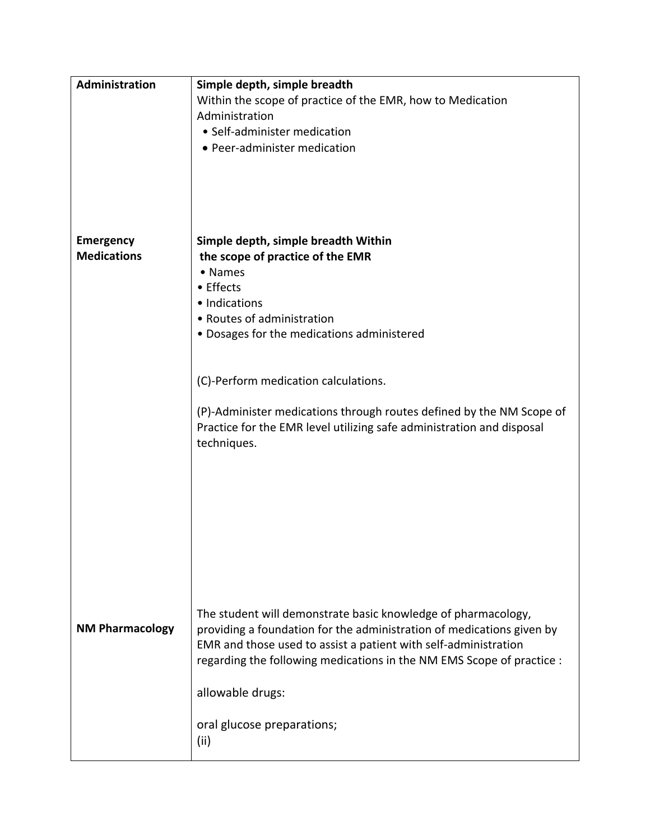| Administration         | Simple depth, simple breadth                                          |
|------------------------|-----------------------------------------------------------------------|
|                        | Within the scope of practice of the EMR, how to Medication            |
|                        | Administration                                                        |
|                        | • Self-administer medication                                          |
|                        | • Peer-administer medication                                          |
|                        |                                                                       |
|                        |                                                                       |
|                        |                                                                       |
|                        |                                                                       |
|                        |                                                                       |
| <b>Emergency</b>       | Simple depth, simple breadth Within                                   |
| <b>Medications</b>     | the scope of practice of the EMR                                      |
|                        | • Names                                                               |
|                        | • Effects                                                             |
|                        | · Indications                                                         |
|                        | • Routes of administration                                            |
|                        | • Dosages for the medications administered                            |
|                        |                                                                       |
|                        |                                                                       |
|                        | (C)-Perform medication calculations.                                  |
|                        |                                                                       |
|                        | (P)-Administer medications through routes defined by the NM Scope of  |
|                        | Practice for the EMR level utilizing safe administration and disposal |
|                        | techniques.                                                           |
|                        |                                                                       |
|                        |                                                                       |
|                        |                                                                       |
|                        |                                                                       |
|                        |                                                                       |
|                        |                                                                       |
|                        |                                                                       |
|                        |                                                                       |
|                        |                                                                       |
|                        |                                                                       |
|                        | The student will demonstrate basic knowledge of pharmacology,         |
| <b>NM Pharmacology</b> | providing a foundation for the administration of medications given by |
|                        | EMR and those used to assist a patient with self-administration       |
|                        | regarding the following medications in the NM EMS Scope of practice : |
|                        |                                                                       |
|                        | allowable drugs:                                                      |
|                        |                                                                       |
|                        | oral glucose preparations;                                            |
|                        |                                                                       |
|                        | (ii)                                                                  |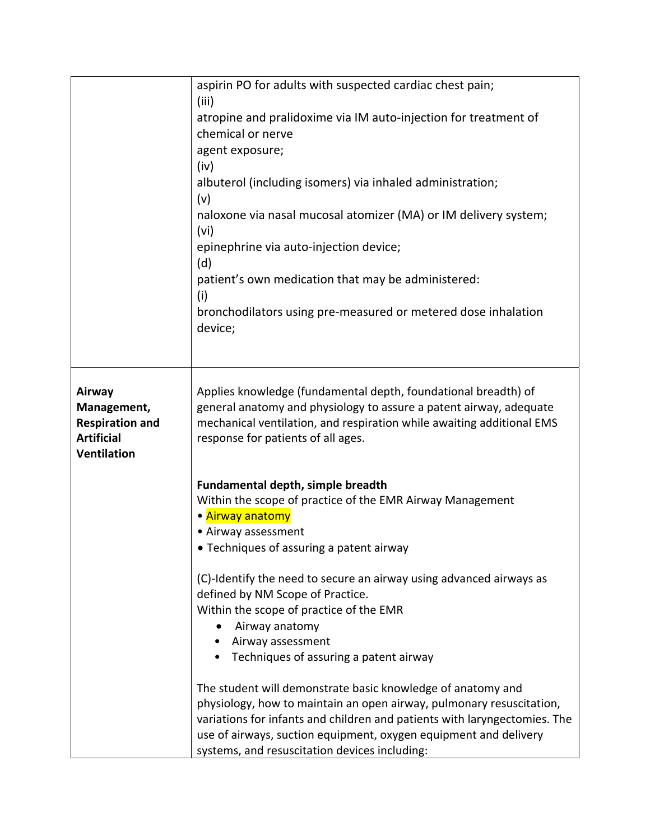|                        | aspirin PO for adults with suspected cardiac chest pain;                  |
|------------------------|---------------------------------------------------------------------------|
|                        | (iii)<br>atropine and pralidoxime via IM auto-injection for treatment of  |
|                        | chemical or nerve                                                         |
|                        | agent exposure;                                                           |
|                        | (iv)                                                                      |
|                        | albuterol (including isomers) via inhaled administration;                 |
|                        | (v)                                                                       |
|                        | naloxone via nasal mucosal atomizer (MA) or IM delivery system;           |
|                        | (vi)                                                                      |
|                        | epinephrine via auto-injection device;                                    |
|                        | (d)                                                                       |
|                        | patient's own medication that may be administered:                        |
|                        | (i)                                                                       |
|                        | bronchodilators using pre-measured or metered dose inhalation             |
|                        | device;                                                                   |
|                        |                                                                           |
| Airway                 | Applies knowledge (fundamental depth, foundational breadth) of            |
| Management,            | general anatomy and physiology to assure a patent airway, adequate        |
| <b>Respiration and</b> | mechanical ventilation, and respiration while awaiting additional EMS     |
| <b>Artificial</b>      | response for patients of all ages.                                        |
| <b>Ventilation</b>     |                                                                           |
|                        | Fundamental depth, simple breadth                                         |
|                        | Within the scope of practice of the EMR Airway Management                 |
|                        | • Airway anatomy                                                          |
|                        | • Airway assessment                                                       |
|                        | • Techniques of assuring a patent airway                                  |
|                        | (C)-Identify the need to secure an airway using advanced airways as       |
|                        | defined by NM Scope of Practice.                                          |
|                        | Within the scope of practice of the EMR                                   |
|                        | Airway anatomy                                                            |
|                        | Airway assessment                                                         |
|                        | • Techniques of assuring a patent airway                                  |
|                        | The student will demonstrate basic knowledge of anatomy and               |
|                        | physiology, how to maintain an open airway, pulmonary resuscitation,      |
|                        | variations for infants and children and patients with laryngectomies. The |
|                        | use of airways, suction equipment, oxygen equipment and delivery          |
|                        | systems, and resuscitation devices including:                             |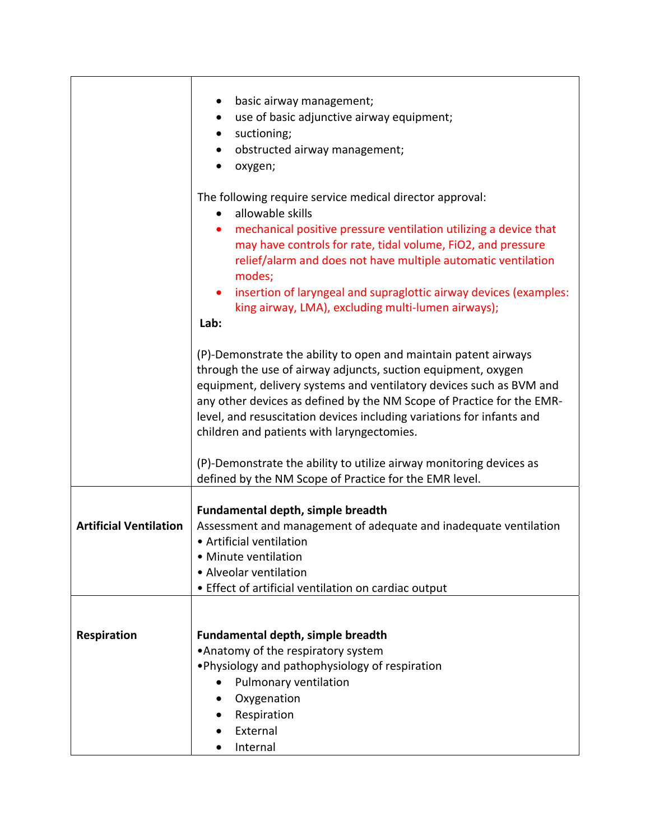|                               | basic airway management;                                                       |
|-------------------------------|--------------------------------------------------------------------------------|
|                               | use of basic adjunctive airway equipment;<br>$\bullet$                         |
|                               | suctioning;                                                                    |
|                               | obstructed airway management;                                                  |
|                               | oxygen;                                                                        |
|                               |                                                                                |
|                               | The following require service medical director approval:<br>allowable skills   |
|                               | mechanical positive pressure ventilation utilizing a device that               |
|                               | may have controls for rate, tidal volume, FiO2, and pressure                   |
|                               | relief/alarm and does not have multiple automatic ventilation<br>modes;        |
|                               | insertion of laryngeal and supraglottic airway devices (examples:<br>$\bullet$ |
|                               | king airway, LMA), excluding multi-lumen airways);                             |
|                               | Lab:                                                                           |
|                               | (P)-Demonstrate the ability to open and maintain patent airways                |
|                               | through the use of airway adjuncts, suction equipment, oxygen                  |
|                               | equipment, delivery systems and ventilatory devices such as BVM and            |
|                               | any other devices as defined by the NM Scope of Practice for the EMR-          |
|                               | level, and resuscitation devices including variations for infants and          |
|                               | children and patients with laryngectomies.                                     |
|                               |                                                                                |
|                               | (P)-Demonstrate the ability to utilize airway monitoring devices as            |
|                               | defined by the NM Scope of Practice for the EMR level.                         |
|                               |                                                                                |
|                               | Fundamental depth, simple breadth                                              |
| <b>Artificial Ventilation</b> | Assessment and management of adequate and inadequate ventilation               |
|                               | • Artificial ventilation                                                       |
|                               | • Minute ventilation                                                           |
|                               | • Alveolar ventilation                                                         |
|                               | • Effect of artificial ventilation on cardiac output                           |
|                               |                                                                                |
| <b>Respiration</b>            | <b>Fundamental depth, simple breadth</b>                                       |
|                               | •Anatomy of the respiratory system                                             |
|                               | . Physiology and pathophysiology of respiration                                |
|                               | Pulmonary ventilation                                                          |
|                               | Oxygenation                                                                    |
|                               |                                                                                |
|                               | Respiration<br>External                                                        |
|                               |                                                                                |
|                               | Internal                                                                       |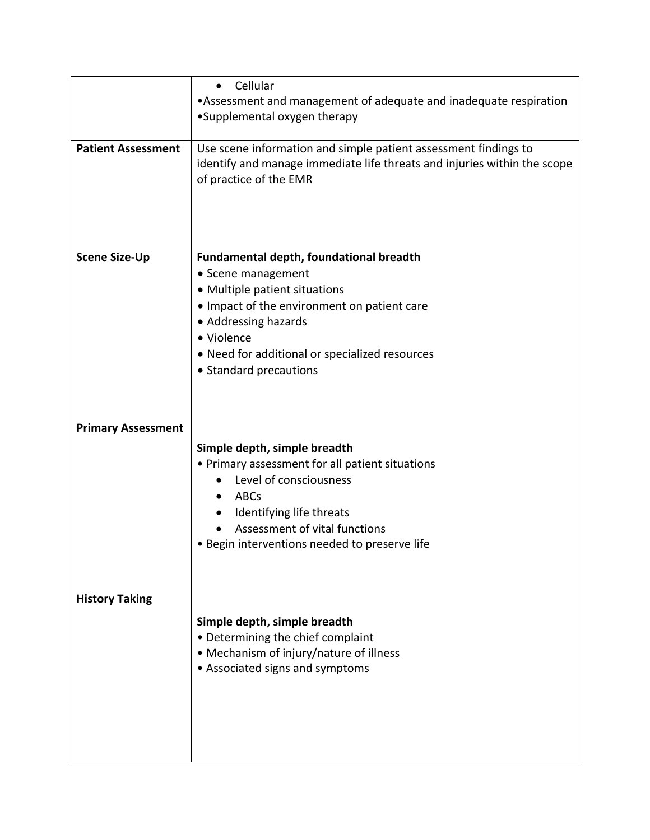|                           | Cellular<br>$\bullet$                                                    |
|---------------------------|--------------------------------------------------------------------------|
|                           | . Assessment and management of adequate and inadequate respiration       |
|                           | •Supplemental oxygen therapy                                             |
|                           |                                                                          |
| <b>Patient Assessment</b> | Use scene information and simple patient assessment findings to          |
|                           | identify and manage immediate life threats and injuries within the scope |
|                           | of practice of the EMR                                                   |
|                           |                                                                          |
|                           |                                                                          |
|                           |                                                                          |
|                           |                                                                          |
| <b>Scene Size-Up</b>      | <b>Fundamental depth, foundational breadth</b>                           |
|                           | • Scene management                                                       |
|                           | • Multiple patient situations                                            |
|                           | • Impact of the environment on patient care                              |
|                           | • Addressing hazards                                                     |
|                           | • Violence                                                               |
|                           | • Need for additional or specialized resources                           |
|                           | • Standard precautions                                                   |
|                           |                                                                          |
|                           |                                                                          |
|                           |                                                                          |
| <b>Primary Assessment</b> |                                                                          |
|                           | Simple depth, simple breadth                                             |
|                           | • Primary assessment for all patient situations                          |
|                           | Level of consciousness                                                   |
|                           | ABCs<br>$\bullet$                                                        |
|                           | Identifying life threats                                                 |
|                           | Assessment of vital functions                                            |
|                           | • Begin interventions needed to preserve life                            |
|                           |                                                                          |
|                           |                                                                          |
| <b>History Taking</b>     |                                                                          |
|                           |                                                                          |
|                           | Simple depth, simple breadth                                             |
|                           | • Determining the chief complaint                                        |
|                           | • Mechanism of injury/nature of illness                                  |
|                           | • Associated signs and symptoms                                          |
|                           |                                                                          |
|                           |                                                                          |
|                           |                                                                          |
|                           |                                                                          |
|                           |                                                                          |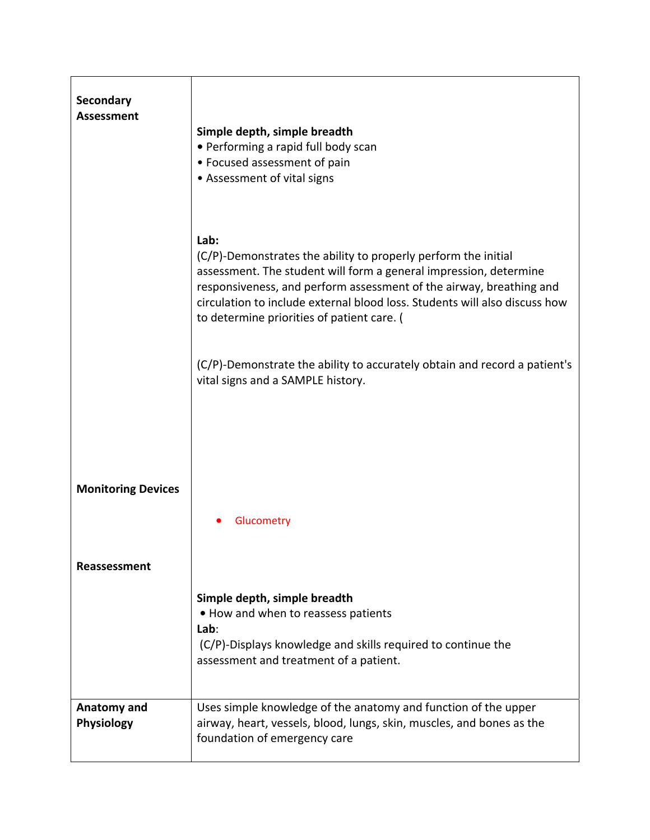| Secondary<br><b>Assessment</b> | Simple depth, simple breadth<br>• Performing a rapid full body scan<br>• Focused assessment of pain<br>• Assessment of vital signs                                                                                                                                                                                                             |
|--------------------------------|------------------------------------------------------------------------------------------------------------------------------------------------------------------------------------------------------------------------------------------------------------------------------------------------------------------------------------------------|
|                                | Lab:<br>(C/P)-Demonstrates the ability to properly perform the initial<br>assessment. The student will form a general impression, determine<br>responsiveness, and perform assessment of the airway, breathing and<br>circulation to include external blood loss. Students will also discuss how<br>to determine priorities of patient care. ( |
|                                | (C/P)-Demonstrate the ability to accurately obtain and record a patient's<br>vital signs and a SAMPLE history.                                                                                                                                                                                                                                 |
| <b>Monitoring Devices</b>      | Glucometry                                                                                                                                                                                                                                                                                                                                     |
| Reassessment                   | Simple depth, simple breadth<br>• How and when to reassess patients<br>Lab:<br>(C/P)-Displays knowledge and skills required to continue the<br>assessment and treatment of a patient.                                                                                                                                                          |
| Anatomy and<br>Physiology      | Uses simple knowledge of the anatomy and function of the upper<br>airway, heart, vessels, blood, lungs, skin, muscles, and bones as the<br>foundation of emergency care                                                                                                                                                                        |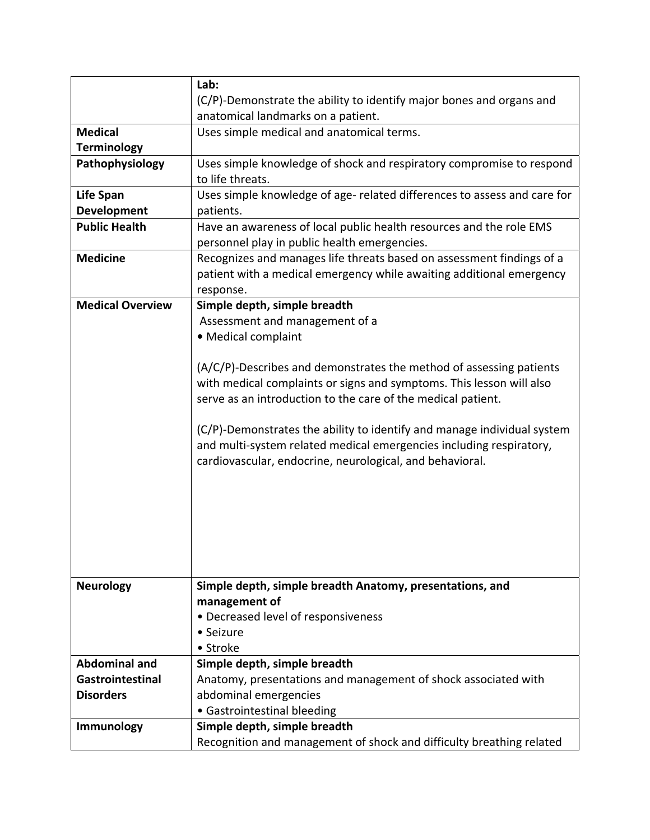|                         | Lab:                                                                                                                |
|-------------------------|---------------------------------------------------------------------------------------------------------------------|
|                         | (C/P)-Demonstrate the ability to identify major bones and organs and                                                |
|                         | anatomical landmarks on a patient.                                                                                  |
| <b>Medical</b>          | Uses simple medical and anatomical terms.                                                                           |
| <b>Terminology</b>      |                                                                                                                     |
| Pathophysiology         | Uses simple knowledge of shock and respiratory compromise to respond<br>to life threats.                            |
| <b>Life Span</b>        | Uses simple knowledge of age- related differences to assess and care for                                            |
| <b>Development</b>      | patients.                                                                                                           |
| <b>Public Health</b>    | Have an awareness of local public health resources and the role EMS<br>personnel play in public health emergencies. |
| <b>Medicine</b>         | Recognizes and manages life threats based on assessment findings of a                                               |
|                         | patient with a medical emergency while awaiting additional emergency                                                |
|                         | response.                                                                                                           |
| <b>Medical Overview</b> | Simple depth, simple breadth                                                                                        |
|                         | Assessment and management of a                                                                                      |
|                         | • Medical complaint                                                                                                 |
|                         |                                                                                                                     |
|                         | (A/C/P)-Describes and demonstrates the method of assessing patients                                                 |
|                         | with medical complaints or signs and symptoms. This lesson will also                                                |
|                         | serve as an introduction to the care of the medical patient.                                                        |
|                         |                                                                                                                     |
|                         | (C/P)-Demonstrates the ability to identify and manage individual system                                             |
|                         | and multi-system related medical emergencies including respiratory,                                                 |
|                         | cardiovascular, endocrine, neurological, and behavioral.                                                            |
|                         |                                                                                                                     |
|                         |                                                                                                                     |
|                         |                                                                                                                     |
|                         |                                                                                                                     |
|                         |                                                                                                                     |
|                         |                                                                                                                     |
|                         |                                                                                                                     |
| <b>Neurology</b>        | Simple depth, simple breadth Anatomy, presentations, and                                                            |
|                         | management of                                                                                                       |
|                         | • Decreased level of responsiveness                                                                                 |
|                         | • Seizure                                                                                                           |
|                         | • Stroke                                                                                                            |
| <b>Abdominal and</b>    | Simple depth, simple breadth                                                                                        |
| Gastrointestinal        | Anatomy, presentations and management of shock associated with                                                      |
| <b>Disorders</b>        | abdominal emergencies                                                                                               |
|                         | • Gastrointestinal bleeding                                                                                         |
| <b>Immunology</b>       | Simple depth, simple breadth                                                                                        |
|                         | Recognition and management of shock and difficulty breathing related                                                |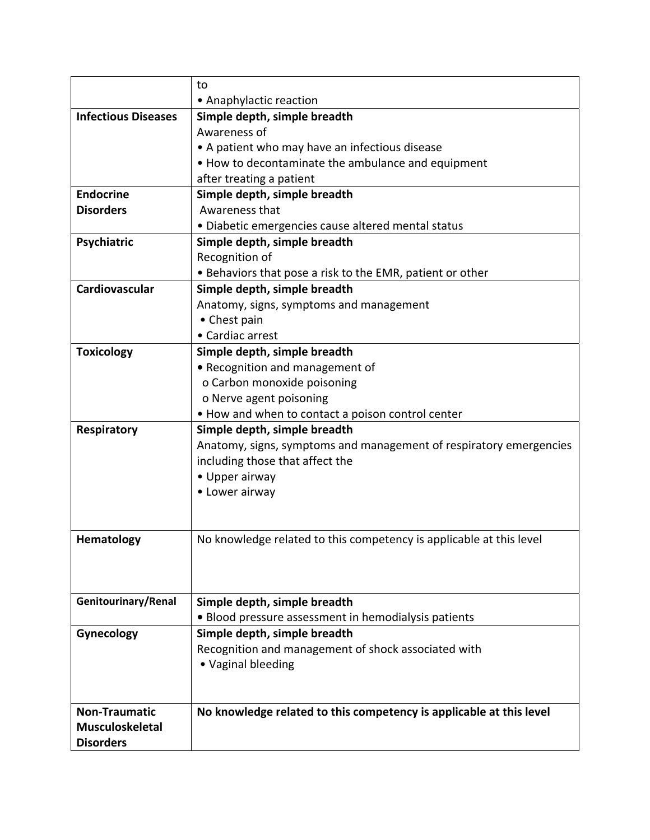|                            | to                                                                  |
|----------------------------|---------------------------------------------------------------------|
|                            | • Anaphylactic reaction                                             |
| <b>Infectious Diseases</b> | Simple depth, simple breadth                                        |
|                            | Awareness of                                                        |
|                            | • A patient who may have an infectious disease                      |
|                            | • How to decontaminate the ambulance and equipment                  |
|                            | after treating a patient                                            |
| <b>Endocrine</b>           | Simple depth, simple breadth                                        |
| <b>Disorders</b>           | Awareness that                                                      |
|                            | · Diabetic emergencies cause altered mental status                  |
| Psychiatric                | Simple depth, simple breadth                                        |
|                            | Recognition of                                                      |
|                            | • Behaviors that pose a risk to the EMR, patient or other           |
| Cardiovascular             | Simple depth, simple breadth                                        |
|                            | Anatomy, signs, symptoms and management                             |
|                            | • Chest pain                                                        |
|                            | • Cardiac arrest                                                    |
| <b>Toxicology</b>          | Simple depth, simple breadth                                        |
|                            | • Recognition and management of                                     |
|                            | o Carbon monoxide poisoning                                         |
|                            | o Nerve agent poisoning                                             |
|                            | . How and when to contact a poison control center                   |
| Respiratory                | Simple depth, simple breadth                                        |
|                            | Anatomy, signs, symptoms and management of respiratory emergencies  |
|                            | including those that affect the                                     |
|                            | • Upper airway                                                      |
|                            | • Lower airway                                                      |
|                            |                                                                     |
|                            |                                                                     |
| <b>Hematology</b>          | No knowledge related to this competency is applicable at this level |
|                            |                                                                     |
|                            |                                                                     |
|                            |                                                                     |
| Genitourinary/Renal        | Simple depth, simple breadth                                        |
|                            | • Blood pressure assessment in hemodialysis patients                |
| Gynecology                 | Simple depth, simple breadth                                        |
|                            | Recognition and management of shock associated with                 |
|                            | • Vaginal bleeding                                                  |
|                            |                                                                     |
| <b>Non-Traumatic</b>       |                                                                     |
| <b>Musculoskeletal</b>     | No knowledge related to this competency is applicable at this level |
|                            |                                                                     |
| <b>Disorders</b>           |                                                                     |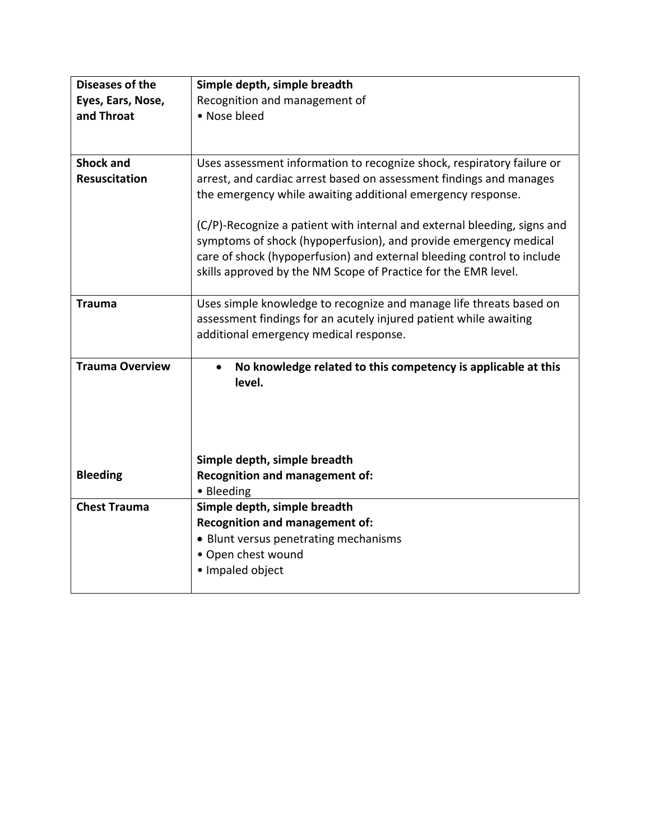| Diseases of the        | Simple depth, simple breadth                                                                                                             |
|------------------------|------------------------------------------------------------------------------------------------------------------------------------------|
| Eyes, Ears, Nose,      | Recognition and management of                                                                                                            |
| and Throat             | • Nose bleed                                                                                                                             |
|                        |                                                                                                                                          |
|                        |                                                                                                                                          |
| <b>Shock and</b>       | Uses assessment information to recognize shock, respiratory failure or                                                                   |
| <b>Resuscitation</b>   | arrest, and cardiac arrest based on assessment findings and manages                                                                      |
|                        | the emergency while awaiting additional emergency response.                                                                              |
|                        |                                                                                                                                          |
|                        | (C/P)-Recognize a patient with internal and external bleeding, signs and                                                                 |
|                        | symptoms of shock (hypoperfusion), and provide emergency medical                                                                         |
|                        | care of shock (hypoperfusion) and external bleeding control to include<br>skills approved by the NM Scope of Practice for the EMR level. |
|                        |                                                                                                                                          |
| <b>Trauma</b>          | Uses simple knowledge to recognize and manage life threats based on                                                                      |
|                        | assessment findings for an acutely injured patient while awaiting                                                                        |
|                        | additional emergency medical response.                                                                                                   |
|                        |                                                                                                                                          |
| <b>Trauma Overview</b> | No knowledge related to this competency is applicable at this                                                                            |
|                        | level.                                                                                                                                   |
|                        |                                                                                                                                          |
|                        |                                                                                                                                          |
|                        |                                                                                                                                          |
|                        | Simple depth, simple breadth                                                                                                             |
| <b>Bleeding</b>        | <b>Recognition and management of:</b>                                                                                                    |
|                        | • Bleeding                                                                                                                               |
| <b>Chest Trauma</b>    | Simple depth, simple breadth                                                                                                             |
|                        | <b>Recognition and management of:</b>                                                                                                    |
|                        | • Blunt versus penetrating mechanisms                                                                                                    |
|                        | • Open chest wound                                                                                                                       |
|                        | · Impaled object                                                                                                                         |
|                        |                                                                                                                                          |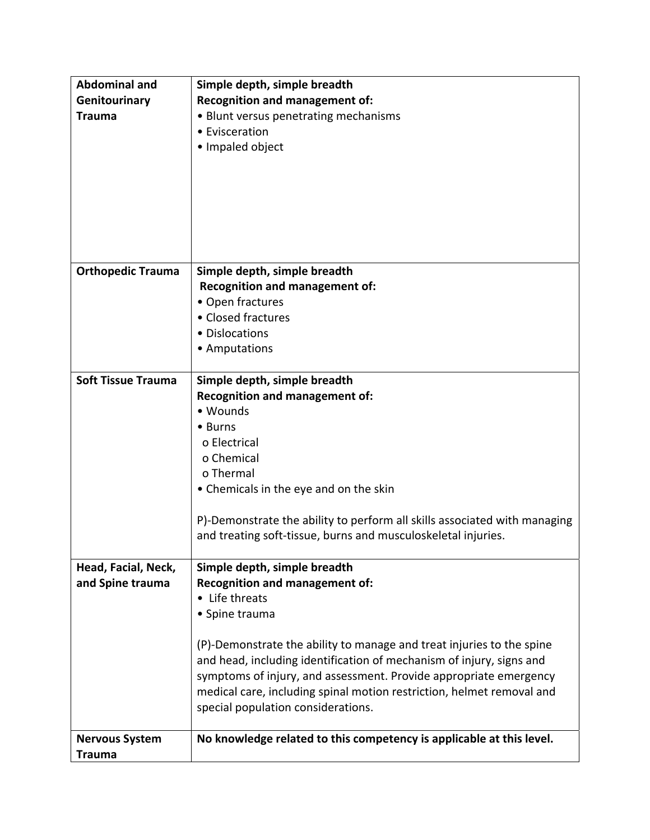| <b>Abdominal and</b>      | Simple depth, simple breadth                                              |
|---------------------------|---------------------------------------------------------------------------|
| Genitourinary             | <b>Recognition and management of:</b>                                     |
| <b>Trauma</b>             | • Blunt versus penetrating mechanisms                                     |
|                           | • Evisceration                                                            |
|                           | • Impaled object                                                          |
|                           |                                                                           |
|                           |                                                                           |
|                           |                                                                           |
|                           |                                                                           |
|                           |                                                                           |
|                           |                                                                           |
|                           |                                                                           |
| <b>Orthopedic Trauma</b>  | Simple depth, simple breadth                                              |
|                           | <b>Recognition and management of:</b>                                     |
|                           | • Open fractures                                                          |
|                           | • Closed fractures                                                        |
|                           | • Dislocations                                                            |
|                           | • Amputations                                                             |
|                           |                                                                           |
| <b>Soft Tissue Trauma</b> | Simple depth, simple breadth                                              |
|                           | <b>Recognition and management of:</b>                                     |
|                           | • Wounds                                                                  |
|                           | • Burns                                                                   |
|                           | o Electrical                                                              |
|                           | o Chemical                                                                |
|                           | o Thermal                                                                 |
|                           | • Chemicals in the eye and on the skin                                    |
|                           | P)-Demonstrate the ability to perform all skills associated with managing |
|                           | and treating soft-tissue, burns and musculoskeletal injuries.             |
|                           |                                                                           |
| Head, Facial, Neck,       | Simple depth, simple breadth                                              |
| and Spine trauma          | <b>Recognition and management of:</b>                                     |
|                           | • Life threats                                                            |
|                           | • Spine trauma                                                            |
|                           |                                                                           |
|                           | (P)-Demonstrate the ability to manage and treat injuries to the spine     |
|                           | and head, including identification of mechanism of injury, signs and      |
|                           | symptoms of injury, and assessment. Provide appropriate emergency         |
|                           | medical care, including spinal motion restriction, helmet removal and     |
|                           | special population considerations.                                        |
|                           |                                                                           |
| <b>Nervous System</b>     | No knowledge related to this competency is applicable at this level.      |
| <b>Trauma</b>             |                                                                           |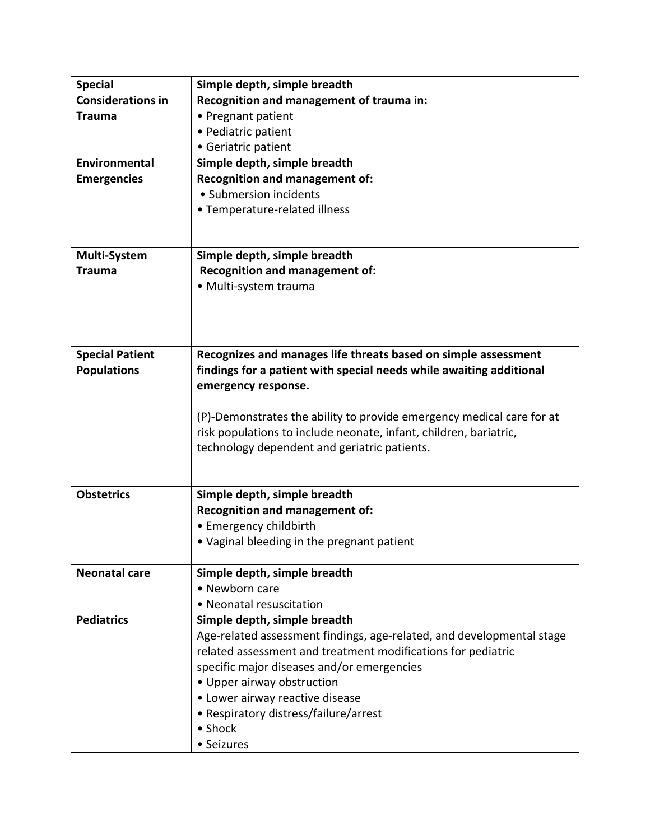| <b>Special</b>           | Simple depth, simple breadth                                             |
|--------------------------|--------------------------------------------------------------------------|
| <b>Considerations in</b> | Recognition and management of trauma in:                                 |
| <b>Trauma</b>            | • Pregnant patient                                                       |
|                          | • Pediatric patient                                                      |
|                          | • Geriatric patient                                                      |
| <b>Environmental</b>     | Simple depth, simple breadth                                             |
| <b>Emergencies</b>       | <b>Recognition and management of:</b>                                    |
|                          | • Submersion incidents                                                   |
|                          | • Temperature-related illness                                            |
|                          |                                                                          |
|                          |                                                                          |
| Multi-System             | Simple depth, simple breadth                                             |
| <b>Trauma</b>            | <b>Recognition and management of:</b><br>· Multi-system trauma           |
|                          |                                                                          |
|                          |                                                                          |
|                          |                                                                          |
|                          |                                                                          |
| <b>Special Patient</b>   | Recognizes and manages life threats based on simple assessment           |
| <b>Populations</b>       | findings for a patient with special needs while awaiting additional      |
|                          | emergency response.                                                      |
|                          | (P)-Demonstrates the ability to provide emergency medical care for at    |
|                          | risk populations to include neonate, infant, children, bariatric,        |
|                          | technology dependent and geriatric patients.                             |
|                          |                                                                          |
|                          |                                                                          |
| <b>Obstetrics</b>        | Simple depth, simple breadth                                             |
|                          | <b>Recognition and management of:</b>                                    |
|                          | • Emergency childbirth                                                   |
|                          | • Vaginal bleeding in the pregnant patient                               |
|                          |                                                                          |
| <b>Neonatal care</b>     | Simple depth, simple breadth                                             |
|                          | • Newborn care                                                           |
|                          | • Neonatal resuscitation                                                 |
| <b>Pediatrics</b>        | Simple depth, simple breadth                                             |
|                          | Age-related assessment findings, age-related, and developmental stage    |
|                          | related assessment and treatment modifications for pediatric             |
|                          | specific major diseases and/or emergencies<br>• Upper airway obstruction |
|                          | • Lower airway reactive disease                                          |
|                          | • Respiratory distress/failure/arrest                                    |
|                          | • Shock                                                                  |
|                          | • Seizures                                                               |
|                          |                                                                          |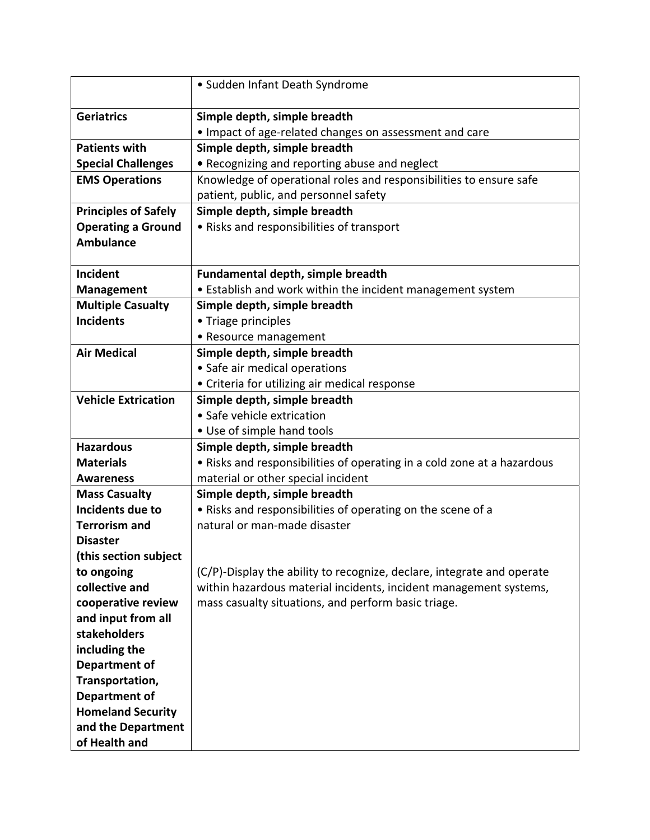|                                          | • Sudden Infant Death Syndrome                                          |
|------------------------------------------|-------------------------------------------------------------------------|
| <b>Geriatrics</b>                        | Simple depth, simple breadth                                            |
|                                          | • Impact of age-related changes on assessment and care                  |
| <b>Patients with</b>                     | Simple depth, simple breadth                                            |
| <b>Special Challenges</b>                | • Recognizing and reporting abuse and neglect                           |
| <b>EMS Operations</b>                    | Knowledge of operational roles and responsibilities to ensure safe      |
|                                          | patient, public, and personnel safety                                   |
| <b>Principles of Safely</b>              | Simple depth, simple breadth                                            |
| <b>Operating a Ground</b>                | • Risks and responsibilities of transport                               |
| <b>Ambulance</b>                         |                                                                         |
|                                          |                                                                         |
| Incident                                 | <b>Fundamental depth, simple breadth</b>                                |
| <b>Management</b>                        | • Establish and work within the incident management system              |
| <b>Multiple Casualty</b>                 | Simple depth, simple breadth                                            |
| <b>Incidents</b>                         | • Triage principles                                                     |
|                                          | • Resource management                                                   |
| <b>Air Medical</b>                       | Simple depth, simple breadth                                            |
|                                          | • Safe air medical operations                                           |
|                                          | • Criteria for utilizing air medical response                           |
| <b>Vehicle Extrication</b>               | Simple depth, simple breadth                                            |
|                                          | • Safe vehicle extrication                                              |
|                                          | • Use of simple hand tools                                              |
| <b>Hazardous</b>                         | Simple depth, simple breadth                                            |
| <b>Materials</b>                         | . Risks and responsibilities of operating in a cold zone at a hazardous |
| <b>Awareness</b>                         | material or other special incident                                      |
| <b>Mass Casualty</b>                     | Simple depth, simple breadth                                            |
| Incidents due to                         | . Risks and responsibilities of operating on the scene of a             |
| <b>Terrorism and</b>                     | natural or man-made disaster                                            |
| <b>Disaster</b><br>(this section subject |                                                                         |
| to ongoing                               | (C/P)-Display the ability to recognize, declare, integrate and operate  |
| collective and                           | within hazardous material incidents, incident management systems,       |
| cooperative review                       | mass casualty situations, and perform basic triage.                     |
| and input from all                       |                                                                         |
| stakeholders                             |                                                                         |
| including the                            |                                                                         |
| Department of                            |                                                                         |
| Transportation,                          |                                                                         |
| <b>Department of</b>                     |                                                                         |
| <b>Homeland Security</b>                 |                                                                         |
| and the Department                       |                                                                         |
| of Health and                            |                                                                         |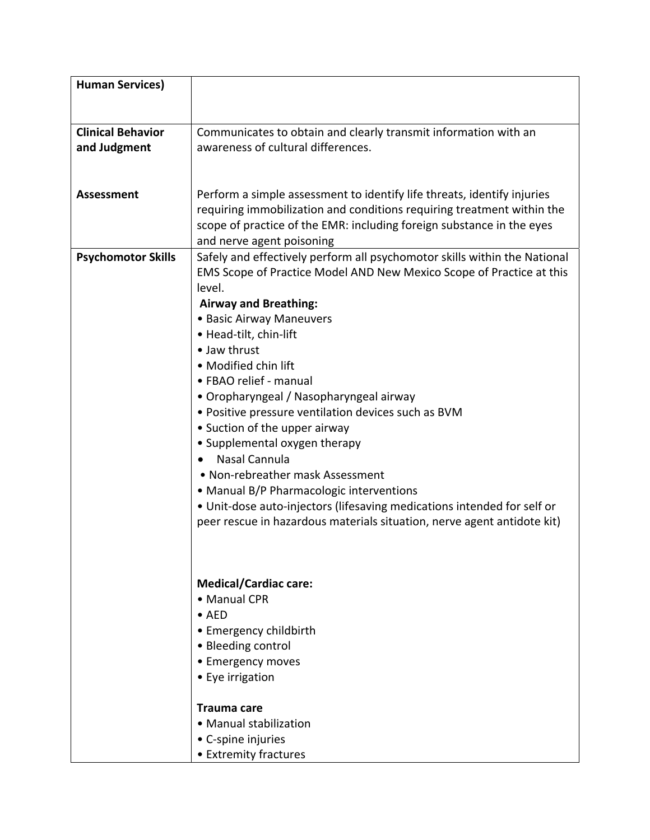| <b>Human Services)</b>    |                                                                           |
|---------------------------|---------------------------------------------------------------------------|
|                           |                                                                           |
|                           |                                                                           |
| <b>Clinical Behavior</b>  | Communicates to obtain and clearly transmit information with an           |
| and Judgment              | awareness of cultural differences.                                        |
|                           |                                                                           |
|                           |                                                                           |
| <b>Assessment</b>         | Perform a simple assessment to identify life threats, identify injuries   |
|                           | requiring immobilization and conditions requiring treatment within the    |
|                           | scope of practice of the EMR: including foreign substance in the eyes     |
|                           | and nerve agent poisoning                                                 |
| <b>Psychomotor Skills</b> | Safely and effectively perform all psychomotor skills within the National |
|                           | EMS Scope of Practice Model AND New Mexico Scope of Practice at this      |
|                           | level.                                                                    |
|                           | <b>Airway and Breathing:</b>                                              |
|                           | • Basic Airway Maneuvers                                                  |
|                           | · Head-tilt, chin-lift                                                    |
|                           | • Jaw thrust                                                              |
|                           | • Modified chin lift                                                      |
|                           | • FBAO relief - manual                                                    |
|                           | • Oropharyngeal / Nasopharyngeal airway                                   |
|                           | • Positive pressure ventilation devices such as BVM                       |
|                           | • Suction of the upper airway                                             |
|                           | • Supplemental oxygen therapy                                             |
|                           | Nasal Cannula                                                             |
|                           | • Non-rebreather mask Assessment                                          |
|                           | • Manual B/P Pharmacologic interventions                                  |
|                           | • Unit-dose auto-injectors (lifesaving medications intended for self or   |
|                           | peer rescue in hazardous materials situation, nerve agent antidote kit)   |
|                           |                                                                           |
|                           |                                                                           |
|                           |                                                                           |
|                           | <b>Medical/Cardiac care:</b>                                              |
|                           | • Manual CPR                                                              |
|                           | $\bullet$ AED                                                             |
|                           | • Emergency childbirth                                                    |
|                           | • Bleeding control                                                        |
|                           | • Emergency moves                                                         |
|                           | • Eye irrigation                                                          |
|                           |                                                                           |
|                           | Trauma care                                                               |
|                           | • Manual stabilization                                                    |
|                           | • C-spine injuries                                                        |
|                           | • Extremity fractures                                                     |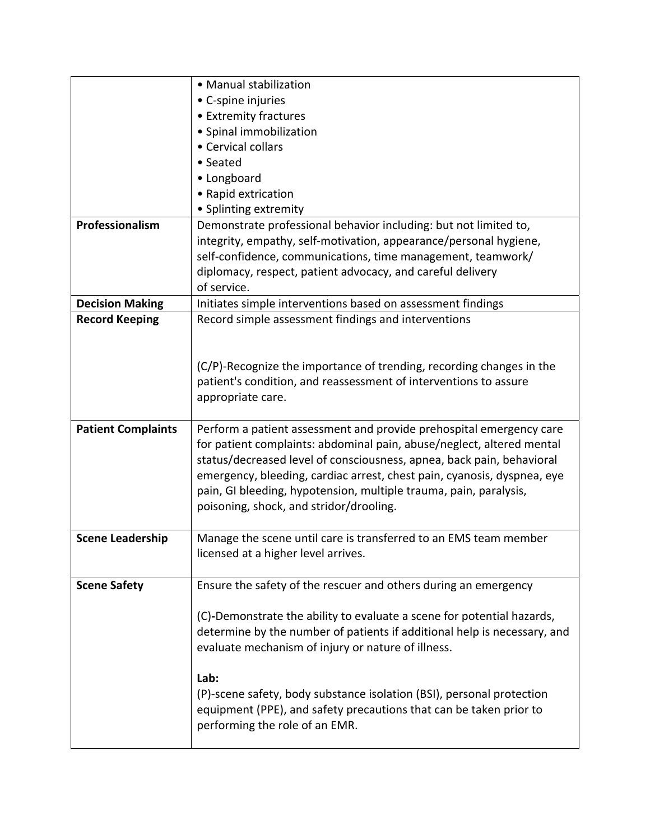|                           | • Manual stabilization                                                                                                                                                                                                                                                                                                                                                                                           |
|---------------------------|------------------------------------------------------------------------------------------------------------------------------------------------------------------------------------------------------------------------------------------------------------------------------------------------------------------------------------------------------------------------------------------------------------------|
|                           | • C-spine injuries                                                                                                                                                                                                                                                                                                                                                                                               |
|                           | • Extremity fractures                                                                                                                                                                                                                                                                                                                                                                                            |
|                           | · Spinal immobilization                                                                                                                                                                                                                                                                                                                                                                                          |
|                           | • Cervical collars                                                                                                                                                                                                                                                                                                                                                                                               |
|                           | • Seated                                                                                                                                                                                                                                                                                                                                                                                                         |
|                           | • Longboard                                                                                                                                                                                                                                                                                                                                                                                                      |
|                           | • Rapid extrication                                                                                                                                                                                                                                                                                                                                                                                              |
|                           | • Splinting extremity                                                                                                                                                                                                                                                                                                                                                                                            |
| Professionalism           | Demonstrate professional behavior including: but not limited to,                                                                                                                                                                                                                                                                                                                                                 |
|                           | integrity, empathy, self-motivation, appearance/personal hygiene,                                                                                                                                                                                                                                                                                                                                                |
|                           | self-confidence, communications, time management, teamwork/                                                                                                                                                                                                                                                                                                                                                      |
|                           | diplomacy, respect, patient advocacy, and careful delivery                                                                                                                                                                                                                                                                                                                                                       |
|                           | of service.                                                                                                                                                                                                                                                                                                                                                                                                      |
| <b>Decision Making</b>    | Initiates simple interventions based on assessment findings                                                                                                                                                                                                                                                                                                                                                      |
| <b>Record Keeping</b>     | Record simple assessment findings and interventions                                                                                                                                                                                                                                                                                                                                                              |
|                           |                                                                                                                                                                                                                                                                                                                                                                                                                  |
|                           |                                                                                                                                                                                                                                                                                                                                                                                                                  |
|                           | (C/P)-Recognize the importance of trending, recording changes in the                                                                                                                                                                                                                                                                                                                                             |
|                           | patient's condition, and reassessment of interventions to assure                                                                                                                                                                                                                                                                                                                                                 |
|                           | appropriate care.                                                                                                                                                                                                                                                                                                                                                                                                |
|                           |                                                                                                                                                                                                                                                                                                                                                                                                                  |
| <b>Patient Complaints</b> | Perform a patient assessment and provide prehospital emergency care<br>for patient complaints: abdominal pain, abuse/neglect, altered mental<br>status/decreased level of consciousness, apnea, back pain, behavioral<br>emergency, bleeding, cardiac arrest, chest pain, cyanosis, dyspnea, eye<br>pain, GI bleeding, hypotension, multiple trauma, pain, paralysis,<br>poisoning, shock, and stridor/drooling. |
|                           |                                                                                                                                                                                                                                                                                                                                                                                                                  |
| <b>Scene Leadership</b>   | Manage the scene until care is transferred to an EMS team member<br>licensed at a higher level arrives.                                                                                                                                                                                                                                                                                                          |
| <b>Scene Safety</b>       | Ensure the safety of the rescuer and others during an emergency                                                                                                                                                                                                                                                                                                                                                  |
|                           | (C)-Demonstrate the ability to evaluate a scene for potential hazards,<br>determine by the number of patients if additional help is necessary, and<br>evaluate mechanism of injury or nature of illness.<br>Lab:<br>(P)-scene safety, body substance isolation (BSI), personal protection<br>equipment (PPE), and safety precautions that can be taken prior to<br>performing the role of an EMR.                |
|                           |                                                                                                                                                                                                                                                                                                                                                                                                                  |